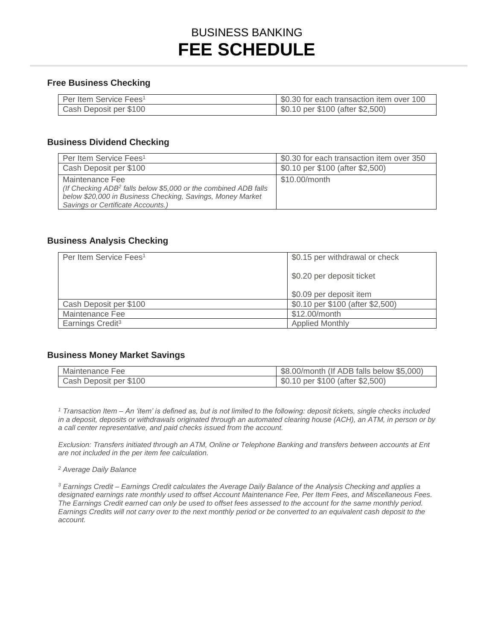# BUSINESS BANKING **FEE SCHEDULE**

#### **Free Business Checking**

| Per Item Service Fees <sup>1</sup> | S0.30 for each transaction item over 100 |
|------------------------------------|------------------------------------------|
| Cash Deposit per \$100             | \$0.10 per \$100 (after \$2,500)         |

#### **Business Dividend Checking**

| Per Item Service Fees <sup>1</sup>                                                                                                                                                                | \$0.30 for each transaction item over 350 |
|---------------------------------------------------------------------------------------------------------------------------------------------------------------------------------------------------|-------------------------------------------|
| Cash Deposit per \$100                                                                                                                                                                            | \$0.10 per \$100 (after \$2,500)          |
| Maintenance Fee<br>(If Checking ADB <sup>2</sup> falls below \$5,000 or the combined ADB falls<br>below \$20,000 in Business Checking, Savings, Money Market<br>Savings or Certificate Accounts.) | \$10.00/month                             |

#### **Business Analysis Checking**

| Per Item Service Fees <sup>1</sup> | \$0.15 per withdrawal or check   |
|------------------------------------|----------------------------------|
|                                    | \$0.20 per deposit ticket        |
|                                    | \$0.09 per deposit item          |
| Cash Deposit per \$100             | \$0.10 per \$100 (after \$2,500) |
| Maintenance Fee                    | \$12.00/month                    |
| Earnings Credit <sup>3</sup>       | <b>Applied Monthly</b>           |

#### **Business Money Market Savings**

| Maintenance Fee        | \$8.00/month (If ADB falls below \$5,000) |
|------------------------|-------------------------------------------|
| Cash Deposit per \$100 | \$0.10 per \$100 (after \$2,500)          |

 *1 Transaction Item – An 'item' is defined as, but is not limited to the following: deposit tickets, single checks included in a deposit, deposits or withdrawals originated through an automated clearing house (ACH), an ATM, in person or by a call center representative, and paid checks issued from the account.* 

 *are not included in the per item fee calculation. Exclusion: Transfers initiated through an ATM, Online or Telephone Banking and transfers between accounts at Ent* 

*2 Average Daily Balance* 

 *designated earnings rate monthly used to offset Account Maintenance Fee, Per Item Fees, and Miscellaneous Fees. 3 Earnings Credit – Earnings Credit calculates the Average Daily Balance of the Analysis Checking and applies a The Earnings Credit earned can only be used to offset fees assessed to the account for the same monthly period. Earnings Credits will not carry over to the next monthly period or be converted to an equivalent cash deposit to the account.*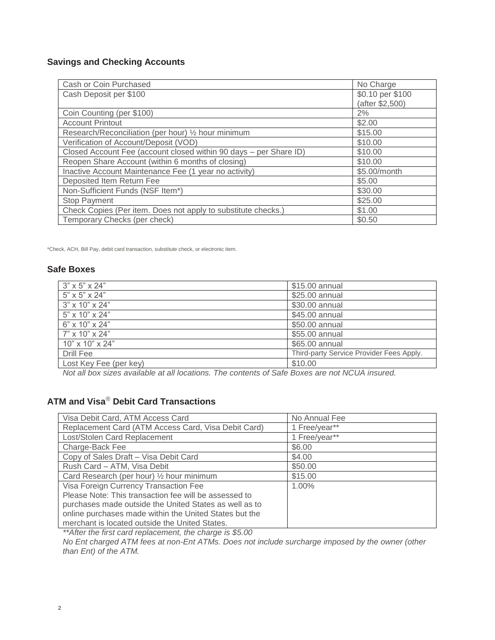### **Savings and Checking Accounts**

| Cash or Coin Purchased                                            | No Charge        |
|-------------------------------------------------------------------|------------------|
| Cash Deposit per \$100                                            | \$0.10 per \$100 |
|                                                                   | (after \$2,500)  |
| Coin Counting (per \$100)                                         | 2%               |
| <b>Account Printout</b>                                           | \$2.00           |
| Research/Reconciliation (per hour) 1/2 hour minimum               | \$15.00          |
| Verification of Account/Deposit (VOD)                             | \$10.00          |
| Closed Account Fee (account closed within 90 days - per Share ID) | \$10.00          |
| Reopen Share Account (within 6 months of closing)                 | \$10.00          |
| Inactive Account Maintenance Fee (1 year no activity)             | \$5.00/month     |
| Deposited Item Return Fee                                         | \$5.00           |
| Non-Sufficient Funds (NSF Item*)                                  | \$30.00          |
| <b>Stop Payment</b>                                               | \$25.00          |
| Check Copies (Per item. Does not apply to substitute checks.)     | \$1.00           |
| Temporary Checks (per check)                                      | \$0.50           |

\*Check, ACH, Bill Pay, debit card transaction, substitute check, or electronic item.

#### **Safe Boxes**

| $3" \times 5" \times 24"$   | \$15.00 annual                           |
|-----------------------------|------------------------------------------|
| 5" x 5" x 24"               | \$25.00 annual                           |
| $3" \times 10" \times 24"$  | \$30.00 annual                           |
| 5" x 10" x 24"              | \$45.00 annual                           |
| 6" x 10" x 24"              | \$50.00 annual                           |
| 7" x 10" x 24"              | \$55.00 annual                           |
| $10" \times 10" \times 24"$ | \$65.00 annual                           |
| Drill Fee                   | Third-party Service Provider Fees Apply. |
| Lost Key Fee (per key)      | \$10.00                                  |
|                             |                                          |

*Not all box sizes available at all locations. The contents of Safe Boxes are not NCUA insured.* 

# **ATM and Visa**® **Debit Card Transactions**

| Visa Debit Card, ATM Access Card                       | No Annual Fee |
|--------------------------------------------------------|---------------|
| Replacement Card (ATM Access Card, Visa Debit Card)    | 1 Free/year** |
| Lost/Stolen Card Replacement                           | 1 Free/year** |
| Charge-Back Fee                                        | \$6.00        |
| Copy of Sales Draft - Visa Debit Card                  | \$4.00        |
| Rush Card - ATM, Visa Debit                            | \$50.00       |
| Card Research (per hour) 1/2 hour minimum              | \$15.00       |
| Visa Foreign Currency Transaction Fee                  | 1.00%         |
| Please Note: This transaction fee will be assessed to  |               |
| purchases made outside the United States as well as to |               |
| online purchases made within the United States but the |               |
| merchant is located outside the United States.         |               |

*\*\*After the first card replacement, the charge is \$5.00* 

 *No Ent charged ATM fees at non-Ent ATMs. Does not include surcharge imposed by the owner (other than Ent) of the ATM.*